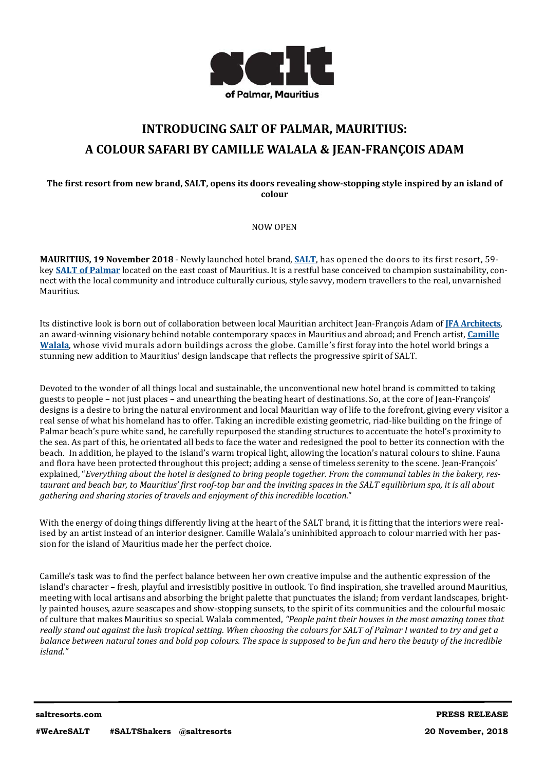

# **INTRODUCING SALT OF PALMAR, MAURITIUS: A COLOUR SAFARI BY CAMILLE WALALA & JEAN‐FRANÇOIS ADAM**

# The first resort from new brand, SALT, opens its doors revealing show-stopping style inspired by an island of **colour**

NOW OPEN 

**MAURITIUS, 19 November 2018** - Newly launched hotel brand, **SALT**, has opened the doors to its first resort, 59– key **SALT** of Palmar located on the east coast of Mauritius. It is a restful base conceived to champion sustainability, connect with the local community and introduce culturally curious, style savvy, modern travellers to the real, unvarnished Mauritius. 

Its distinctive look is born out of collaboration between local Mauritian architect Jean-François Adam of **IFA Architects**, an award-winning visionary behind notable contemporary spaces in Mauritius and abroad; and French artist, *Camille* **Walala**, whose vivid murals adorn buildings across the globe. Camille's first foray into the hotel world brings a stunning new addition to Mauritius' design landscape that reflects the progressive spirit of SALT.

Devoted to the wonder of all things local and sustainable, the unconventional new hotel brand is committed to taking guests to people – not just places – and unearthing the beating heart of destinations. So, at the core of Jean-François' designs is a desire to bring the natural environment and local Mauritian way of life to the forefront, giving every visitor a real sense of what his homeland has to offer. Taking an incredible existing geometric, riad-like building on the fringe of Palmar beach's pure white sand, he carefully repurposed the standing structures to accentuate the hotel's proximity to the sea. As part of this, he orientated all beds to face the water and redesigned the pool to better its connection with the beach. In addition, he played to the island's warm tropical light, allowing the location's natural colours to shine. Fauna and flora have been protected throughout this project; adding a sense of timeless serenity to the scene. Jean-François' explained, "Everything about the hotel is designed to bring people together. From the communal tables in the bakery, restaurant and beach bar, to Mauritius' first roof-top bar and the inviting spaces in the SALT equilibrium spa, it is all about *gathering and sharing stories of travels and enjoyment of this incredible location*." 

With the energy of doing things differently living at the heart of the SALT brand, it is fitting that the interiors were realised by an artist instead of an interior designer. Camille Walala's uninhibited approach to colour married with her passion for the island of Mauritius made her the perfect choice.

Camille's task was to find the perfect balance between her own creative impulse and the authentic expression of the island's character – fresh, playful and irresistibly positive in outlook. To find inspiration, she travelled around Mauritius, meeting with local artisans and absorbing the bright palette that punctuates the island; from verdant landscapes, brightly painted houses, azure seascapes and show-stopping sunsets, to the spirit of its communities and the colourful mosaic of culture that makes Mauritius so special. Walala commented, *"People paint their houses in the most amazing tones that* really stand out against the lush tropical setting. When choosing the colours for SALT of Palmar I wanted to try and get a balance between natural tones and bold pop colours. The space is supposed to be fun and hero the beauty of the incredible *island."*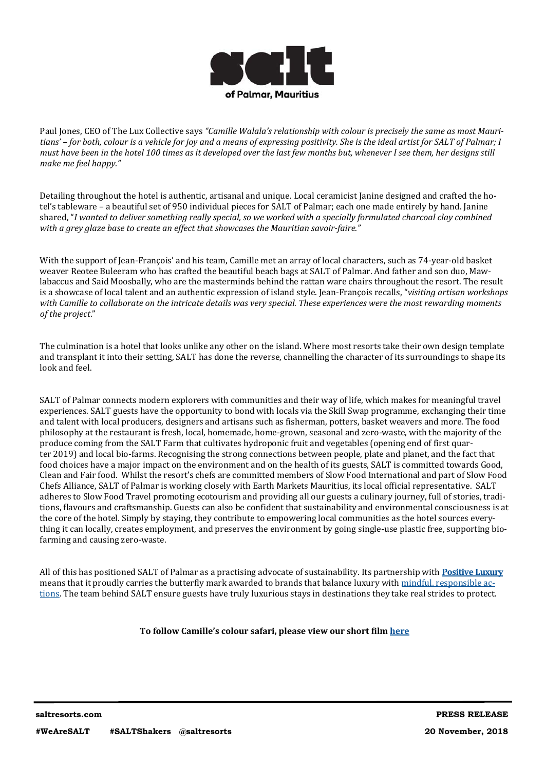

Paul Jones, CEO of The Lux Collective says "Camille Walala's relationship with colour is precisely the same as most Mauritians' - for both, colour is a vehicle for joy and a means of expressing positivity. She is the ideal artist for SALT of Palmar; I must have been in the hotel 100 times as it developed over the last few months but, whenever I see them, her designs still *make me feel happy."*

Detailing throughout the hotel is authentic, artisanal and unique. Local ceramicist Janine designed and crafted the hotel's tableware – a beautiful set of 950 individual pieces for SALT of Palmar; each one made entirely by hand. Janine shared. "I wanted to deliver something really special, so we worked with a specially formulated charcoal clay combined *with a grey glaze base to create an effect that showcases the Mauritian savoir-faire."*

With the support of Jean-François' and his team, Camille met an array of local characters, such as 74-year-old basket weaver Reotee Buleeram who has crafted the beautiful beach bags at SALT of Palmar. And father and son duo, Mawlabaccus and Said Moosbally, who are the masterminds behind the rattan ware chairs throughout the resort. The result is a showcase of local talent and an authentic expression of island style. Jean-François recalls, "*visiting artisan workshops* with Camille to collaborate on the intricate details was very special. These experiences were the most rewarding moments *of the project*." 

The culmination is a hotel that looks unlike any other on the island. Where most resorts take their own design template and transplant it into their setting, SALT has done the reverse, channelling the character of its surroundings to shape its look and feel. 

SALT of Palmar connects modern explorers with communities and their way of life, which makes for meaningful travel experiences. SALT guests have the opportunity to bond with locals via the Skill Swap programme, exchanging their time and talent with local producers, designers and artisans such as fisherman, potters, basket weavers and more. The food philosophy at the restaurant is fresh, local, homemade, home-grown, seasonal and zero-waste, with the majority of the produce coming from the SALT Farm that cultivates hydroponic fruit and vegetables (opening end of first quarter 2019) and local bio-farms. Recognising the strong connections between people, plate and planet, and the fact that food choices have a major impact on the environment and on the health of its guests, SALT is committed towards Good, Clean and Fair food. Whilst the resort's chefs are committed members of Slow Food International and part of Slow Food Chefs Alliance, SALT of Palmar is working closely with Earth Markets Mauritius, its local official representative. SALT adheres to Slow Food Travel promoting ecotourism and providing all our guests a culinary journey, full of stories, traditions, flavours and craftsmanship. Guests can also be confident that sustainability and environmental consciousness is at the core of the hotel. Simply by staying, they contribute to empowering local communities as the hotel sources everything it can locally, creates employment, and preserves the environment by going single-use plastic free, supporting biofarming and causing zero-waste.

All of this has positioned SALT of Palmar as a practising advocate of sustainability. Its partnership with **Positive Luxury** means that it proudly carries the butterfly mark awarded to brands that balance luxury with mindful, responsible actions. The team behind SALT ensure guests have truly luxurious stays in destinations they take real strides to protect.

# **To follow Camille's colour safari, please view our short ϐilm here**